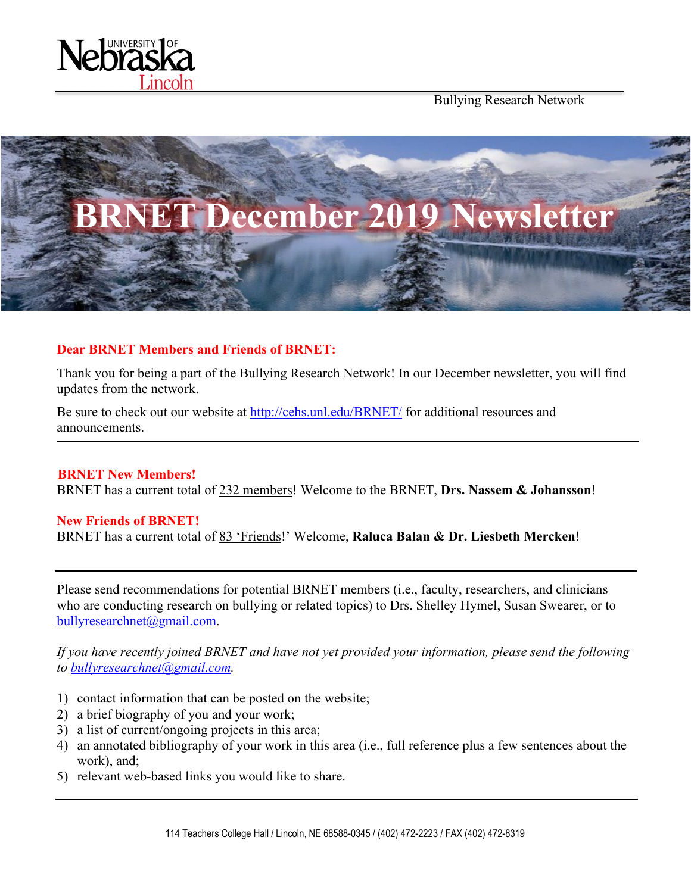

Bullying Research Network



### **Dear BRNET Members and Friends of BRNET:**

Thank you for being a part of the Bullying Research Network! In our December newsletter, you will find updates from the network.

Be sure to check out our website at<http://cehs.unl.edu/BRNET/> for additional resources and announcements.

**BRNET New Members!** BRNET has a current total of 232 members! Welcome to the BRNET, **Drs. Nassem & Johansson**!

### **New Friends of BRNET!**

BRNET has a current total of 83 'Friends!' Welcome, **Raluca Balan & Dr. Liesbeth Mercken**!

Please send recommendations for potential BRNET members (i.e., faculty, researchers, and clinicians who are conducting research on bullying or related topics) to Drs. Shelley Hymel, Susan Swearer, or to [bullyresearchnet@gmail.com.](mailto:bullyresearchnet@gmail.com)

*If you have recently joined BRNET and have not yet provided your information, please send the following to [bullyresearchnet@gmail.com.](mailto:bullyresearchnet@gmail.com)*

- 1) contact information that can be posted on the website;
- 2) a brief biography of you and your work;
- 3) a list of current/ongoing projects in this area;
- 4) an annotated bibliography of your work in this area (i.e., full reference plus a few sentences about the work), and;
- 5) relevant web-based links you would like to share.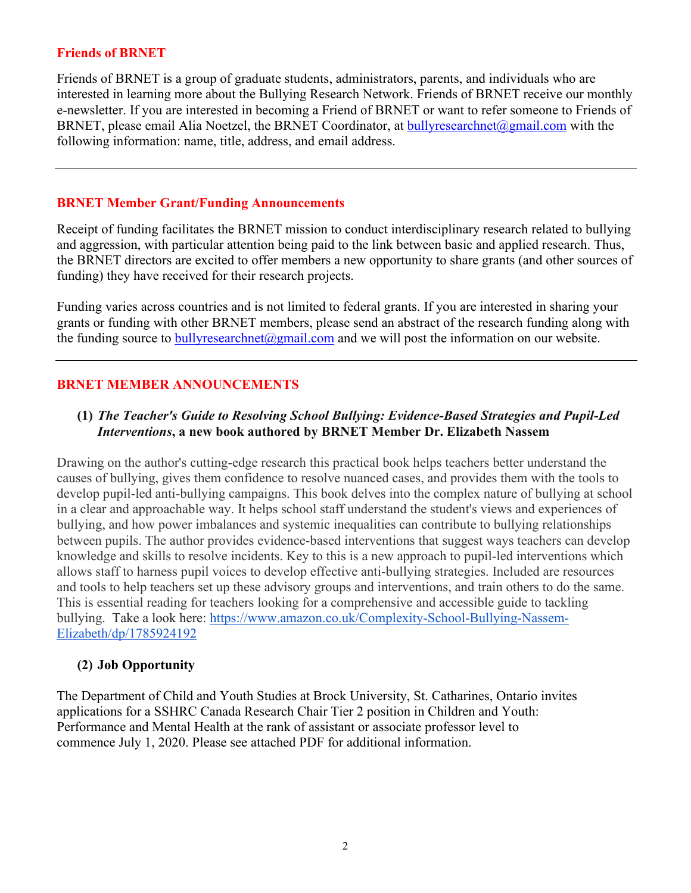#### **Friends of BRNET**

Friends of BRNET is a group of graduate students, administrators, parents, and individuals who are interested in learning more about the Bullying Research Network. Friends of BRNET receive our monthly e-newsletter. If you are interested in becoming a Friend of BRNET or want to refer someone to Friends of BRNET, please email Alia Noetzel, the BRNET Coordinator, at [bullyresearchnet@gmail.com](mailto:bullyresearchnet@gmail.com) with the following information: name, title, address, and email address.

#### **BRNET Member Grant/Funding Announcements**

Receipt of funding facilitates the BRNET mission to conduct interdisciplinary research related to bullying and aggression, with particular attention being paid to the link between basic and applied research. Thus, the BRNET directors are excited to offer members a new opportunity to share grants (and other sources of funding) they have received for their research projects.

Funding varies across countries and is not limited to federal grants. If you are interested in sharing your grants or funding with other BRNET members, please send an abstract of the research funding along with the funding source to  $\frac{\text{bulk}}{\text{presented}}$  mail.com and we will post the information on our website.

### **BRNET MEMBER ANNOUNCEMENTS**

### **(1)** *The Teacher's Guide to Resolving School Bullying: Evidence-Based Strategies and Pupil-Led Interventions***, a new book authored by BRNET Member Dr. Elizabeth Nassem**

Drawing on the author's cutting-edge research this practical book helps teachers better understand the causes of bullying, gives them confidence to resolve nuanced cases, and provides them with the tools to develop pupil-led anti-bullying campaigns. This book delves into the complex nature of bullying at school in a clear and approachable way. It helps school staff understand the student's views and experiences of bullying, and how power imbalances and systemic inequalities can contribute to bullying relationships between pupils. The author provides evidence-based interventions that suggest ways teachers can develop knowledge and skills to resolve incidents. Key to this is a new approach to pupil-led interventions which allows staff to harness pupil voices to develop effective anti-bullying strategies. Included are resources and tools to help teachers set up these advisory groups and interventions, and train others to do the same. This is essential reading for teachers looking for a comprehensive and accessible guide to tackling bullying. Take a look here: [https://www.amazon.co.uk/Complexity-School-Bullying-Nassem-](https://www.amazon.co.uk/Complexity-School-Bullying-Nassem-Elizabeth/dp/1785924192)[Elizabeth/dp/1785924192](https://www.amazon.co.uk/Complexity-School-Bullying-Nassem-Elizabeth/dp/1785924192)

### **(2) Job Opportunity**

The Department of Child and Youth Studies at Brock University, St. Catharines, Ontario invites applications for a SSHRC Canada Research Chair Tier 2 position in Children and Youth: Performance and Mental Health at the rank of assistant or associate professor level to commence July 1, 2020. Please see attached PDF for additional information.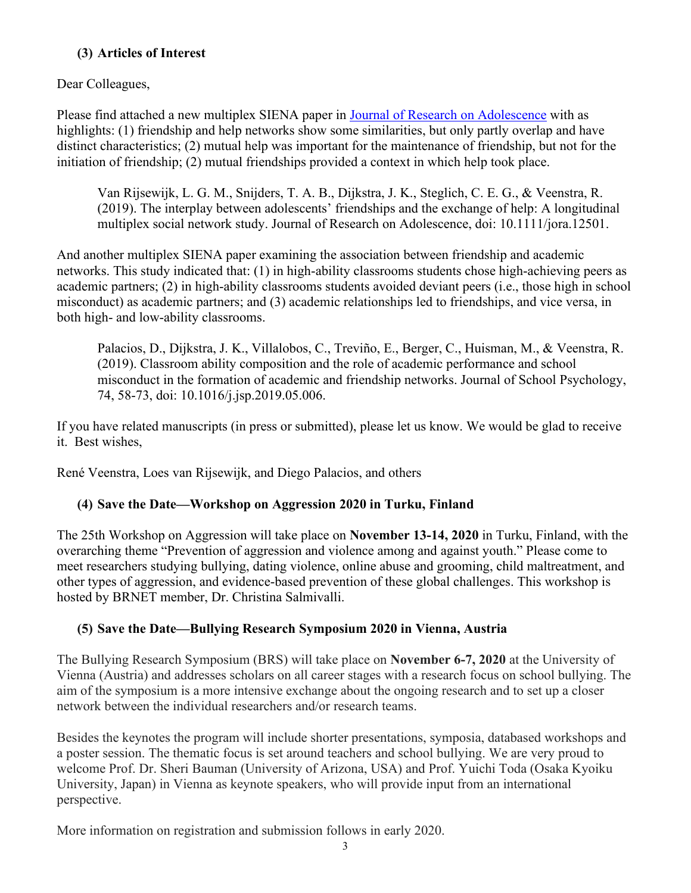# **(3) Articles of Interest**

Dear Colleagues,

Please find attached a new multiplex SIENA paper in [Journal of Research on Adolescence](https://urldefense.proofpoint.com/v2/url?u=https-3A__onlinelibrary.wiley.com_doi_full_10.1111_jora.12501&d=DwMDaQ&c=Cu5g146wZdoqVuKpTNsYHeFX_rg6kWhlkLF8Eft-wwo&r=pWic30ayAUnLgVZ5-oscRywEhLuq0OrRNorCTMj4dgo&m=DJqYMSpmB1THjQZpjfp2GdfQPOeopXDQ_LKne1MTRxY&s=6iBG7tYGOsKWLeJ6vA8tjKJGawIO_c2HhnlLgqTivIM&e=) with as highlights: (1) friendship and help networks show some similarities, but only partly overlap and have distinct characteristics; (2) mutual help was important for the maintenance of friendship, but not for the initiation of friendship; (2) mutual friendships provided a context in which help took place.

Van Rijsewijk, L. G. M., Snijders, T. A. B., Dijkstra, J. K., Steglich, C. E. G., & Veenstra, R. (2019). The interplay between adolescents' friendships and the exchange of help: A longitudinal multiplex social network study. Journal of Research on Adolescence, doi: 10.1111/jora.12501.

And another multiplex SIENA paper examining the association between friendship and academic networks. This study indicated that: (1) in high-ability classrooms students chose high-achieving peers as academic partners; (2) in high-ability classrooms students avoided deviant peers (i.e., those high in school misconduct) as academic partners; and (3) academic relationships led to friendships, and vice versa, in both high- and low-ability classrooms.

Palacios, D., Dijkstra, J. K., Villalobos, C., Treviño, E., Berger, C., Huisman, M., & Veenstra, R. (2019). Classroom ability composition and the role of academic performance and school misconduct in the formation of academic and friendship networks. Journal of School Psychology, 74, 58-73, doi: 10.1016/j.jsp.2019.05.006.

If you have related manuscripts (in press or submitted), please let us know. We would be glad to receive it. Best wishes,

René Veenstra, Loes van Rijsewijk, and Diego Palacios, and others

# **(4) Save the Date—Workshop on Aggression 2020 in Turku, Finland**

The 25th Workshop on Aggression will take place on **November 13-14, 2020** in Turku, Finland, with the overarching theme "Prevention of aggression and violence among and against youth." Please come to meet researchers studying bullying, dating violence, online abuse and grooming, child maltreatment, and other types of aggression, and evidence-based prevention of these global challenges. This workshop is hosted by BRNET member, Dr. Christina Salmivalli.

# **(5) Save the Date—Bullying Research Symposium 2020 in Vienna, Austria**

The Bullying Research Symposium (BRS) will take place on **November 6-7, 2020** at the University of Vienna (Austria) and addresses scholars on all career stages with a research focus on school bullying. The aim of the symposium is a more intensive exchange about the ongoing research and to set up a closer network between the individual researchers and/or research teams.

Besides the keynotes the program will include shorter presentations, symposia, databased workshops and a poster session. The thematic focus is set around teachers and school bullying. We are very proud to welcome Prof. Dr. Sheri Bauman (University of Arizona, USA) and Prof. Yuichi Toda (Osaka Kyoiku University, Japan) in Vienna as keynote speakers, who will provide input from an international perspective.

More information on registration and submission follows in early 2020.